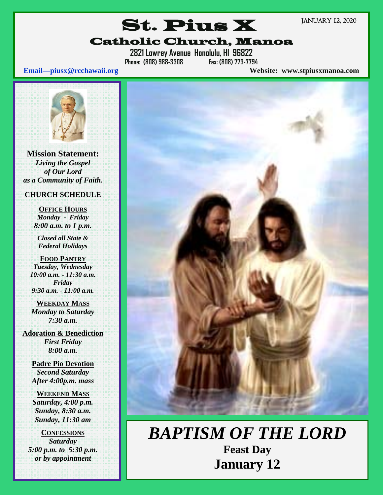JANUARY 12, 2020

# St. Pius X Catholic Church, Manoa

**2821 Lowrey Avenue Honolulu, HI 96822 Phone: (808) 988-3308 Fax: (808) 773-7794** 

**Email—piusx@rcchawaii.org Website: www.stpiusxmanoa.com**



**Mission Statement:**  *Living the Gospel of Our Lord as a Community of Faith.* 

### **CHURCH SCHEDULE**

**OFFICE HOURS** *Monday - Friday 8:00 a.m. to 1 p.m.* 

*Closed all State & Federal Holidays* 

**FOOD PANTRY** *Tuesday, Wednesday 10:00 a.m. - 11:30 a.m. Friday 9:30 a.m. - 11:00 a.m.* 

**WEEKDAY MASS** *Monday to Saturday 7:30 a.m.* 

**Adoration & Benediction**  *First Friday 8:00 a.m.* 

> **Padre Pio Devotion**  *Second Saturday After 4:00p.m. mass*

### **WEEKEND MASS**

*Saturday, 4:00 p.m. Sunday, 8:30 a.m. Sunday, 11:30 am* 

**CONFESSIONS**  *Saturday 5:00 p.m. to 5:30 p.m. or by appointment* 



*BAPTISM OF THE LORD* **Feast Day January 12**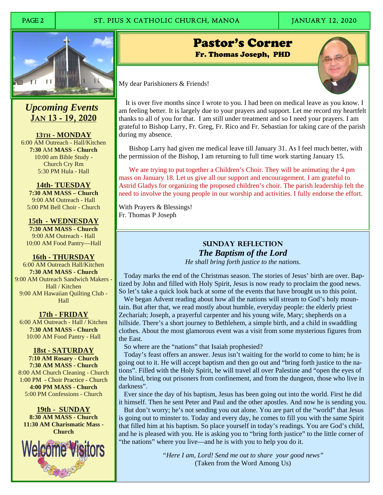# PAGE 2 ST. PIUS X CATHOLIC CHURCH, MANOA JANUARY 12, 2020



 *Upcoming Events*  JAN 13 - 19, 2020

**13TH - MONDAY**  6:00 AM Outreach - Hall/Kitchen **7:30** AM **MASS - Church**  10:00 am Bible Study - Church Cry Rm 5:30 PM Hula - Hall

**14th- TUESDAY 7:30 AM MASS – Church**  9:00 AM Outreach - Hall 5:00 PM Bell Choir - Church

**15th - WEDNESDAY 7:30 AM MASS - Church**  9:00 AM Outreach - Hall 10:00 AM Food Pantry—Hall

**16th - THURSDAY**  6:00 AM Outreach Hall/Kitchen **7:30 AM MASS - Church**  9:00 AM Outreach Sandwich Makers - Hall / Kitchen 9:00 AM Hawaiian Quilting Club - Hall

**17th - FRIDAY**  6:00 AM Outreach - Hall / Kitchen **7:30 AM MASS - Church**  10:00 AM Food Pantry - Hall

**18st - SATURDAY 7:10 AM Rosary - Church 7:30 AM MASS - Church** 

8:00 AM Church Cleaning - Church 1:00 PM - Choir Practice - Church **4:00 PM MASS - Church**  5:00 PM Confessions - Church

**19th - SUNDAY 8:30 AM MASS - Church 11:30 AM Charismatic Mass - Church**



Pastor's Corner Fr. Thomas Joseph, PHD

İ

My dear Parishioners & Friends!

 It is over five months since I wrote to you. I had been on medical leave as you know. I am feeling better. It is largely due to your prayers and support. Let me record my heartfelt thanks to all of you for that. I am still under treatment and so I need your prayers. I am grateful to Bishop Larry, Fr. Greg, Fr. Rico and Fr. Sebastian for taking care of the parish during my absence.

 Bishop Larry had given me medical leave till January 31. As I feel much better, with the permission of the Bishop, I am returning to full time work starting January 15.

We are trying to put together a Children's Choir. They will be animating the 4 pm mass on January 18. Let us give all our support and encouragement. I am grateful to Astrid Gladys for organizing the proposed children's choir. The parish leadership felt the need to involve the young people in our worship and activities. I fully endorse the effort.

With Prayers & Blessings! Fr. Thomas P Joseph

# **Sunday Reflection**  *The Baptism of the Lord*

*He shall bring forth justice to the nations*.

 Today marks the end of the Christmas season. The stories of Jesus' birth are over. Baptized by John and filled with Holy Spirit, Jesus is now ready to proclaim the good news. So let's take a quick look back at some of the events that have brought us to this point.

 We began Advent reading about how all the nations will stream to God's holy mountain. But after that, we read mostly about humble, everyday people: the elderly priest Zechariah; Joseph, a prayerful carpenter and his young wife, Mary; shepherds on a hillside. There's a short journey to Bethlehem, a simple birth, and a child in swaddling clothes. About the most glamorous event was a visit from some mysterious figures from the East.

So where are the "nations" that Isaiah prophesied?

 Today's feast offers an answer. Jesus isn't waiting for the world to come to him; he is going out to it. He will accept baptism and then go out and "bring forth justice to the nations". Filled with the Holy Spirit, he will travel all over Palestine and "open the eyes of the blind, bring out prisoners from confinement, and from the dungeon, those who live in darkness".

 Ever since the day of his baptism, Jesus has been going out into the world. First he did it himself. Then he sent Peter and Paul and the other apostles. And now he is sending you.

 But don't worry; he's not sending you out alone. You are part of the "world" that Jesus is going out to minster to. Today and every day, he comes to fill you with the same Spirit that filled him at his baptism. So place yourself in today's readings. You are God's child, and he is pleased with you. He is asking you to "bring forth justice" to the little corner of "the nations" where you live—and he is with you to help you do it.

> *"Here I am, Lord! Send me out to share your good news"*  (Taken from the Word Among Us)

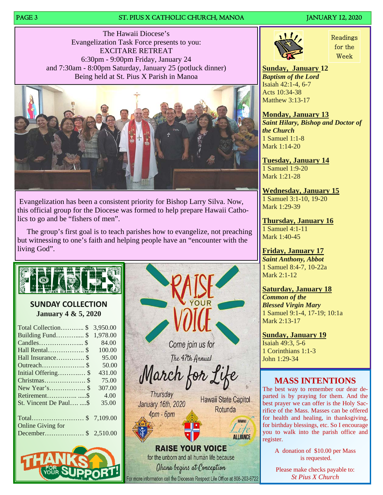### PAGE 3 ST. PIUS X CATHOLIC CHURCH, MANOA JANUARY 12, 2020

The Hawaii Diocese's Evangelization Task Force presents to you: EXCITARE RETREAT 6:30pm - 9:00pm Friday, January 24 and 7:30am - 8:00pm Saturday, January 25 (potluck dinner) Being held at St. Pius X Parish in Manoa



 Evangelization has been a consistent priority for Bishop Larry Silva. Now, this official group for the Diocese was formed to help prepare Hawaii Catholics to go and be "fishers of men".

 The group's first goal is to teach parishes how to evangelize, not preaching but witnessing to one's faith and helping people have an "encounter with the living God".



## **SUNDAY COLLECTION January 4 & 5, 2020**

| Total Collection\$       | 3,950.00 |
|--------------------------|----------|
| Building Fund \$         | 1.978.00 |
|                          | 84.00    |
| Hall Rental \$           | 100.00   |
| Hall Insurance \$        | 95.00    |
|                          | 50.00    |
| Initial Offering \$      | 431.00   |
| Christmas \$             | 75.00    |
|                          | 307.00   |
|                          | 4.00     |
| St. Vincent De Paul \$   | 35.00    |
|                          |          |
| $Total$ \$               | 7,109.00 |
| <b>Online Giving for</b> |          |
|                          |          |
|                          |          |





or more information call the Diocesan Respect Life Office at 808-203-6722



Readings for the Week

**Sunday, January 12**  *Baptism of the Lord* Isaiah 42:1-4, 6-7 Acts 10:34-38 Matthew 3:13-17

**Monday, January 13**  *Saint Hilary, Bishop and Doctor of the Church*  1 Samuel 1:1-8 Mark 1:14-20

**Tuesday, January 14**  1 Samuel 1:9-20 Mark 1:21-28

**Wednesday, January 15**  1 Samuel 3:1-10, 19-20 Mark 1:29-39

**Thursday, January 16**  1 Samuel 4:1-11 Mark 1:40-45

**Friday, January 17**  *Saint Anthony, Abbot* 1 Samuel 8:4-7, 10-22a Mark 2:1-12

**Saturday, January 18**  *Common of the Blessed Virgin Mary* 1 Samuel 9:1-4, 17-19; 10:1a Mark 2:13-17

**Sunday, January 19**  Isaiah 49:3, 5-6 1 Corinthians 1:1-3 John 1:29-34

# **MASS INTENTIONS**

The best way to remember our dear departed is by praying for them. And the best prayer we can offer is the Holy Sacrifice of the Mass. Masses can be offered for health and healing, in thanksgiving, for birthday blessings, etc. So I encourage you to walk into the parish office and register.

> A donation of \$10.00 per Mass is requested.

Please make checks payable to: *St Pius X Church*